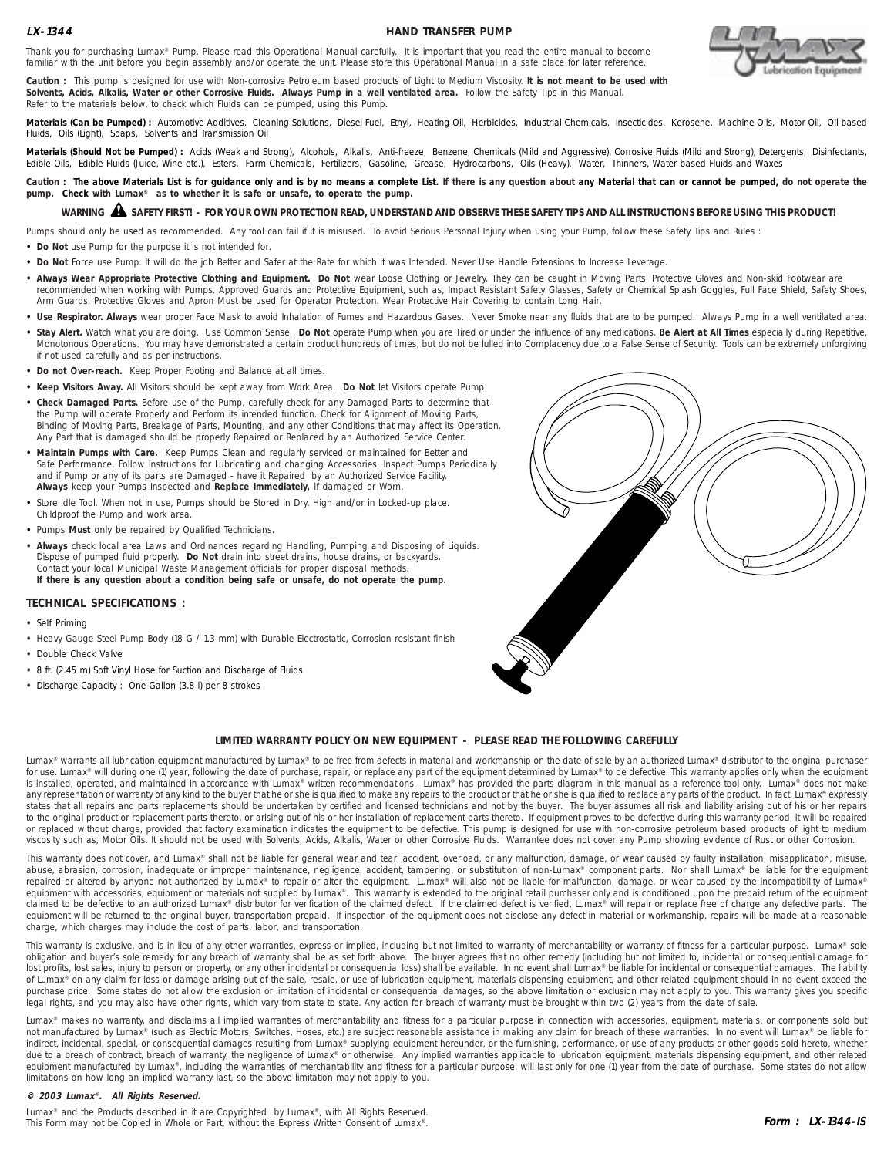## **LX-1344**

## **HAND TRANSFER PUMP**



Thank you for purchasing Lumax® Pump. Please read this Operational Manual carefully. It is important that you read the entire manual to become familiar with the unit before you begin assembly and/or operate the unit. Please store this Operational Manual in a safe place for later reference.

**Caution :** This pump is designed for use with Non-corrosive Petroleum based products of Light to Medium Viscosity. **It is not meant to be used with Solvents, Acids, Alkalis, Water or other Corrosive Fluids. Always Pump in a well ventilated area.** Follow the Safety Tips in this Manual. Refer to the materials below, to check which Fluids can be pumped, using this Pump.

Materials (Can be Pumped) : Automotive Additives, Cleaning Solutions, Diesel Fuel, Ethyl, Heating Oil, Herbicides, Industrial Chemicals, Insecticides, Kerosene, Machine Oils, Motor Oil, Oil based Fluids, Oils (Light), Soaps, Solvents and Transmission Oil

**Materials (Should Not be Pumped) :** Acids (Weak and Strong), Alcohols, Alkalis, Anti-freeze, Benzene, Chemicals (Mild and Aggressive), Corrosive Fluids (Mild and Strong), Detergents, Disinfectants, Edible Oils, Edible Fluids (Juice, Wine etc.), Esters, Farm Chemicals, Fertilizers, Gasoline, Grease, Hydrocarbons, Oils (Heavy), Water, Thinners, Water based Fluids and Waxes

Caution : The above Materials List is for quidance only and is by no means a complete List. If there is any question about any Material that can or cannot be pumped, do not operate the **pump. Check with Lumax® as to whether it is safe or unsafe, to operate the pump.**

# WARNING A SAFETY FIRST! - FOR YOUR OWN PROTECTION READ, UNDERSTAND AND OBSERVE THESE SAFETY TIPS AND ALL INSTRUCTIONS BEFORE USING THIS PRODUCT!

Pumps should only be used as recommended. Any tool can fail if it is misused. To avoid Serious Personal Injury when using your Pump, follow these Safety Tips and Rules :

- **• Do Not** use Pump for the purpose it is not intended for.
- **• Do Not** Force use Pump. It will do the job Better and Safer at the Rate for which it was Intended. Never Use Handle Extensions to Increase Leverage.
- Always Wear Appropriate Protective Clothing and Equipment. Do Not wear Loose Clothing or Jewelry. They can be caught in Moving Parts. Protective Gloves and Non-skid Footwear are recommended when working with Pumps. Approved Guards and Protective Equipment, such as, Impact Resistant Safety Glasses, Safety or Chemical Splash Goggles, Full Face Shield, Safety Shoes, Arm Guards, Protective Gloves and Apron Must be used for Operator Protection. Wear Protective Hair Covering to contain Long Hair.
- Use Respirator. Always wear proper Face Mask to avoid Inhalation of Fumes and Hazardous Gases. Never Smoke near any fluids that are to be pumped. Always Pump in a well ventilated area.
- **• Stay Alert.** Watch what you are doing. Use Common Sense. **Do Not** operate Pump when you are Tired or under the influence of any medications. **Be Alert at All Times** especially during Repetitive, Monotonous Operations. You may have demonstrated a certain product hundreds of times, but do not be lulled into Complacency due to a False Sense of Security. Tools can be extremely unforgiving if not used carefully and as per instructions.
- **• Do not Over-reach.** Keep Proper Footing and Balance at all times.
- **• Keep Visitors Away.** All Visitors should be kept away from Work Area. **Do Not** let Visitors operate Pump.
- **• Check Damaged Parts.** Before use of the Pump, carefully check for any Damaged Parts to determine that the Pump will operate Properly and Perform its intended function. Check for Alignment of Moving Parts, Binding of Moving Parts, Breakage of Parts, Mounting, and any other Conditions that may affect its Operation. Any Part that is damaged should be properly Repaired or Replaced by an Authorized Service Center.
- **• Maintain Pumps with Care.** Keep Pumps Clean and regularly serviced or maintained for Better and Safe Performance. Follow Instructions for Lubricating and changing Accessories. Inspect Pumps Periodically and if Pump or any of its parts are Damaged - have it Repaired by an Authorized Service Facility. **Always** keep your Pumps Inspected and **Replace Immediately,** if damaged or Worn.
- **•** Store Idle Tool. When not in use, Pumps should be Stored in Dry, High and/or in Locked-up place. Childproof the Pump and work area.
- **•** Pumps **Must** only be repaired by Qualified Technicians.
- **Always** check local area Laws and Ordinances regarding Handling, Pumping and Disposing of Liquids. Dispose of pumped fluid properly. **Do Not** drain into street drains, house drains, or backyards. Contact your local Municipal Waste Management officials for proper disposal methods. **If there is any question about a condition being safe or unsafe, do not operate the pump.**

## **TECHNICAL SPECIFICATIONS :**

- **•** Self Priming
- **•** Heavy Gauge Steel Pump Body (18 G / 1.3 mm) with Durable Electrostatic, Corrosion resistant finish
- **•** Double Check Valve
- **•** 8 ft. (2.45 m) Soft Vinyl Hose for Suction and Discharge of Fluids
- **•** Discharge Capacity : One Gallon (3.8 l) per 8 strokes



## **LIMITED WARRANTY POLICY ON NEW EQUIPMENT - PLEASE READ THE FOLLOWING CAREFULLY**

Lumax® warrants all lubrication equipment manufactured by Lumax® to be free from defects in material and workmanship on the date of sale by an authorized Lumax® distributor to the original purchaser for use. Lumax® will during one (1) year, following the date of purchase, repair, or replace any part of the equipment determined by Lumax® to be defective. This warranty applies only when the equipment is installed, operated, and maintained in accordance with Lumax® written recommendations. Lumax® has provided the parts diagram in this manual as a reference tool only. Lumax® does not make any representation or warranty of any kind to the buyer that he or she is qualified to make any repairs to the product or that he or she is qualified to replace any parts of the product. In fact, Lumax® expressly states that all repairs and parts replacements should be undertaken by certified and licensed technicians and not by the buyer. The buyer assumes all risk and liability arising out of his or her repairs to the original product or replacement parts thereto, or arising out of his or her installation of replacement parts thereto. If equipment proves to be defective during this warranty period, it will be repaired or replaced without charge, provided that factory examination indicates the equipment to be defective. This pump is designed for use with non-corrosive petroleum based products of light to medium viscosity such as, Motor Oils. It should not be used with Solvents, Acids, Alkalis, Water or other Corrosive Fluids. Warrantee does not cover any Pump showing evidence of Rust or other Corrosion.

This warranty does not cover, and Lumax® shall not be liable for general wear and tear, accident, overload, or any malfunction, damage, or wear caused by faulty installation, misapplication, misuse, abuse, abrasion, corrosion, inadequate or improper maintenance, negligence, accident, tampering, or substitution of non-Lumax® component parts. Nor shall Lumax® be liable for the equipment repaired or altered by anyone not authorized by Lumax® to repair or alter the equipment. Lumax® will also not be liable for malfunction, damage, or wear caused by the incompatibility of Lumax®<br>equipment with accessories, e claimed to be defective to an authorized Lumax® distributor for verification of the claimed defect. If the claimed defect is verified, Lumax® will repair or replace free of charge any defective parts. The equipment will be returned to the original buyer, transportation prepaid. If inspection of the equipment does not disclose any defect in material or workmanship, repairs will be made at a reasonable charge, which charges may include the cost of parts, labor, and transportation.

This warranty is exclusive, and is in lieu of any other warranties, express or implied, including but not limited to warranty of merchantability or warranty of fitness for a particular purpose. Lumax® sole obligation and buyer's sole remedy for any breach of warranty shall be as set forth above. The buyer agrees that no other remedy (including but not limited to, incidental or consequential damage for lost profits, lost sales, injury to person or property, or any other incidental or consequential loss) shall be available. In no event shall Lumax® be liable for incidental or consequential damages. The liability of Lumax® on any claim for loss or damage arising out of the sale, resale, or use of lubrication equipment, materials dispensing equipment, and other related equipment should in no event exceed the purchase price. Some states do not allow the exclusion or limitation of incidental or consequential damages, so the above limitation or exclusion may not apply to you. This warranty gives you specific legal rights, and you may also have other rights, which vary from state to state. Any action for breach of warranty must be brought within two (2) years from the date of sale

Lumax® makes no warranty, and disclaims all implied warranties of merchantability and fitness for a particular purpose in connection with accessories, equipment, materials, or components sold but not manufactured by Lumax® (such as Electric Motors, Switches, Hoses, etc.) are subject reasonable assistance in making any claim for breach of these warranties. In no event will Lumax® be liable for indirect, incidental, special, or consequential damages resulting from Lumax® supplying equipment hereunder, or the furnishing, performance, or use of any products or other goods sold hereto, whether due to a breach of contract, breach of warranty, the negligence of Lumax® or otherwise. Any implied warranties applicable to lubrication equipment, materials dispensing equipment, and other related equipment manufactured by Lumax®, including the warranties of merchantability and fitness for a particular purpose, will last only for one (1) year from the date of purchase. Some states do not allow limitations on how long an implied warranty last, so the above limitation may not apply to you.

#### **© 2003 Lumax**® **. All Rights Reserved.**

Lumax<sup>®</sup> and the Products described in it are Copyrighted by Lumax<sup>®</sup>, with All Rights Reserved. This Form may not be Copied in Whole or Part, without the Express Written Consent of Lumax®.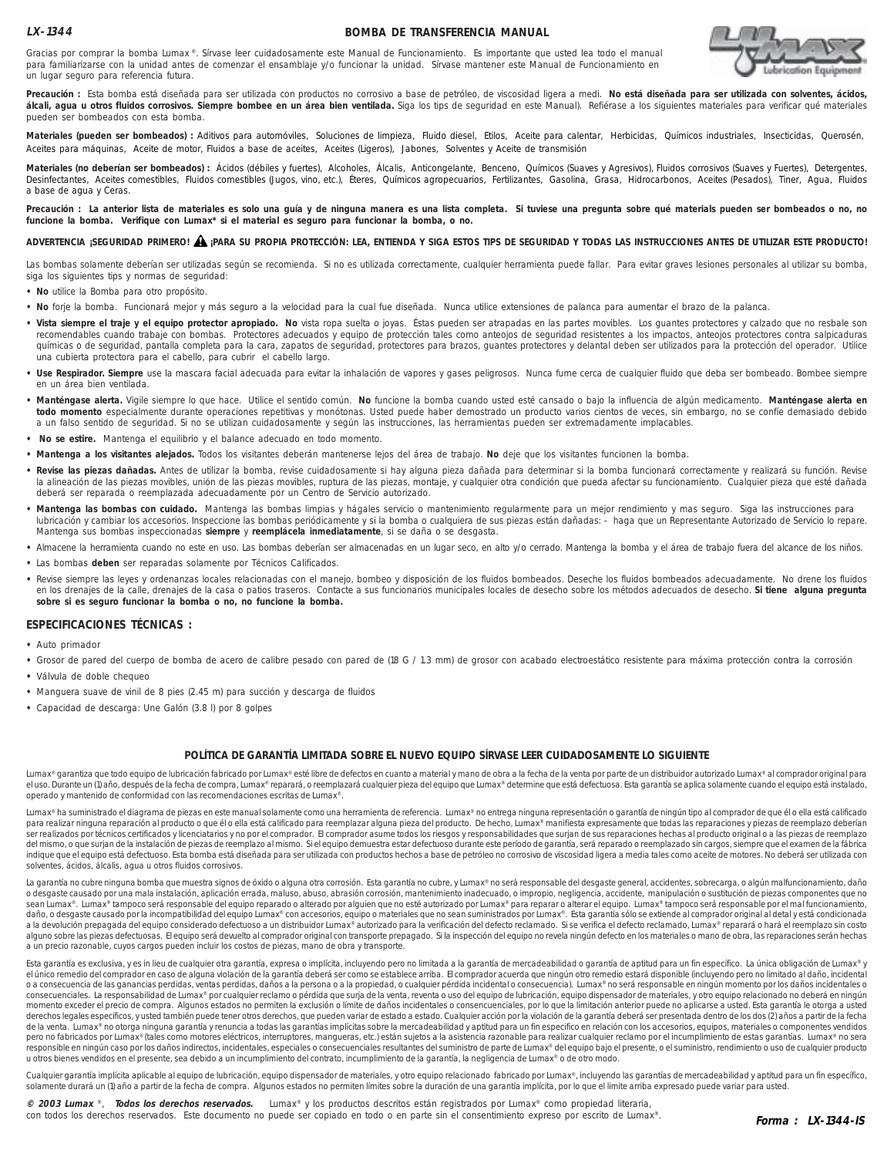## **LX-1344**

#### **BOMBA DE TRANSFERENCIA MANUAL**



Gracias por comprar la bomba Lumax ®. Sírvase leer cuidadosamente este Manual de Funcionamiento. Es importante que usted lea todo el manual para familiarizarse con la unidad antes de comenzar el ensamblaje y/o funcionar la unidad. Sírvase mantener este Manual de Funcionamiento en un lugar seguro para referencia futura.

**Precaución :** Esta bomba está diseñada para ser utilizada con productos no corrosivo a base de petróleo, de viscosidad ligera a medi. **No está diseñada para ser utilizada con solventes, ácidos, álcali, agua u otros fluidos corrosivos. Siempre bombee en un área bien ventilada.** Siga los tips de seguridad en este Manual). Refiérase a los siguientes materiales para verificar qué materiales pueden ser bombeados con esta bomba.

Materiales (pueden ser bombeados) : Aditivos para automóviles, Soluciones de limpieza, Fluido diesel, Etilos, Aceite para calentar, Herbicidas, Químicos industriales, Insecticidas, Querosén, Aceites para máquinas, Aceite de motor, Fluidos a base de aceites, Aceites (Ligeros), Jabones, Solventes y Aceite de transmisión

Materiales (no deberían ser bombeados) : Ácidos (débiles y fuertes), Alcoholes, Álcalis, Anticongelante, Benceno, Químicos (Suaves y Agresivos), Fluidos corrosivos (Suaves y Fuertes), Detergentes, Desinfectantes, Aceites comestibles, Fluidos comestibles (Jugos, vino, etc.), Éteres, Químicos agropecuarios, Fertilizantes, Gasolina, Grasa, Hidrocarbonos, Aceites (Pesados), Tiner, Agua, Fluidos a base de agua y Ceras.

**Precaución : La anterior lista de materiales es solo una guía y de ninguna manera es una lista completa. Si tuviese una pregunta sobre qué materials pueden ser bombeados o no, no funcione la bomba. Verifique con Lumax\* si el material es seguro para funcionar la bomba, o no.**

## **ADVERTENCIA ¡SEGURIDAD PRIMERO! ¡PARA SU PROPIA PROTECCIÓN: LEA, ENTIENDA Y SIGA ESTOS TIPS DE SEGURIDAD Y TODAS LAS INSTRUCCIONES ANTES DE UTILIZAR ESTE PRODUCTO!** !

Las bombas solamente deberían ser utilizadas según se recomienda. Si no es utilizada correctamente, cualquier herramienta puede fallar. Para evitar graves lesiones personales al utilizar su bomba, siga los siguientes tips y normas de seguridad:

- **No** utilice la Bomba para otro propósito.
- **No** forje la bomba. Funcionará mejor y más seguro a la velocidad para la cual fue diseñada. Nunca utilice extensiones de palanca para aumentar el brazo de la palanca.
- · Vista siempre el traje y el equipo protector apropiado. No vista ropa suelta o joyas. Éstas pueden ser atrapadas en las partes movibles. Los guantes protectores y calzado que no resbale son recomendables cuando trabaje con bombas. Protectores adecuados y equipo de protección tales como anteojos de seguridad resistentes a los impactos, anteojos protectores contra salpicaduras químicas o de seguridad, pantalla completa para la cara, zapatos de seguridad, protectores para brazos, guantes protectores y delantal deben ser utilizados para la protección del operador. Utilice una cubierta protectora para el cabello, para cubrir el cabello largo.
- · Use Respirador. Siempre use la mascara facial adecuada para evitar la inhalación de vapores y gases peligrosos. Nunca fume cerca de cualquier fluido que deba ser bombeado. Bombee siempre en un área bien ventilada.
- **Manténgase alerta.** Vigile siempre lo que hace. Utilice el sentido común. **No** funcione la bomba cuando usted esté cansado o bajo la influencia de algún medicamento. **Manténgase alerta en todo momento** especialmente durante operaciones repetitivas y monótonas. Usted puede haber demostrado un producto varios cientos de veces, sin embargo, no se confíe demasiado debido a un falso sentido de seguridad. Si no se utilizan cuidadosamente y según las instrucciones, las herramientas pueden ser extremadamente implacables.
- **No se estire.** Mantenga el equilibrio y el balance adecuado en todo momento.
- **Mantenga a los visitantes alejados.** Todos los visitantes deberán mantenerse lejos del área de trabajo. **No** deje que los visitantes funcionen la bomba.
- **Revise las piezas dañadas.** Antes de utilizar la bomba, revise cuidadosamente si hay alguna pieza dañada para determinar si la bomba funcionará correctamente y realizará su función. Revise la alineación de las piezas movibles, unión de las piezas movibles, ruptura de las piezas, montaje, y cualquier otra condición que pueda afectar su funcionamiento. Cualquier pieza que esté dañada deberá ser reparada o reemplazada adecuadamente por un Centro de Servicio autorizado.
- **Mantenga las bombas con cuidado.** Mantenga las bombas limpias y hágales servicio o mantenimiento regularmente para un mejor rendimiento y mas seguro. Siga las instrucciones para lubricación y cambiar los accesorios. Inspeccione las bombas periódicamente y si la bomba o cualquiera de sus piezas están dañadas: - haga que un Representante Autorizado de Servicio lo repare. Mantenga sus bombas inspeccionadas **siempre** y **reemplácela inmediatamente**, si se daña o se desgasta.
- **•** Almacene la herramienta cuando no este en uso. Las bombas deberían ser almacenadas en un lugar seco, en alto y/o cerrado. Mantenga la bomba y el área de trabajo fuera del alcance de los niños.
- **•** Las bombas **deben** ser reparadas solamente por Técnicos Calificados.
- · Revise siempre las leyes y ordenanzas locales relacionadas con el manejo, bombeo y disposición de los fluidos bombeados. Deseche los fluidos bombeados adecuadamente. No drene los fluidos en los drenajes de la calle, drenajes de la casa o patios traseros. Contacte a sus funcionarios municipales locales de desecho sobre los métodos adecuados de desecho. **Si tiene alguna pregunta sobre si es seguro funcionar la bomba o no, no funcione la bomba.**

## **ESPECIFICACIONES TÉCNICAS :**

**•** Auto primador

- **•** Grosor de pared del cuerpo de bomba de acero de calibre pesado con pared de (18 G / 1.3 mm) de grosor con acabado electroestático resistente para máxima protección contra la corrosión
- **•** Válvula de doble chequeo
- **•** Manguera suave de vinil de 8 pies (2.45 m) para succión y descarga de fluidos
- **•** Capacidad de descarga: Une Galón (3.8 l) por 8 golpes

#### **POLÍTICA DE GARANTÍA LIMITADA SOBRE EL NUEVO EQUIPO SÍRVASE LEER CUIDADOSAMENTE LO SIGUIENTE**

Lumax® garantiza que todo equipo de lubricación fabricado por Lumax® esté libre de defectos en cuanto a material y mano de obra a la fecha de la venta por parte de un distribuidor autorizado Lumax® al comprador original p el uso. Durante un (i) año, después de la fecha de compra, Lumax® reparará, o reemplazará cualquier pieza del equipo que Lumax® determine que está defectuosa. Esta garantía se aplica solamente cuando el equipo está instala operado y mantenido de conformidad con las recomendaciones escritas de Lumax®.

Lumax® ha suministrado el diagrama de piezas en este manual solamente como una herramienta de referencia. Lumax® no entrega ninguna representación o garantía de ningún tipo al comprador de que él o ella está calificado para realizar ninguna reparación al producto o que él o ella está calificado para reemplazar alguna pieza del producto. De hecho, Lumax® manifiesta expresamente que todas las reparaciones y piezas de reemplazo deberían ser realizados por técnicos certificados y licenciatarios y no por el comprador. El comprador asume todos los riesgos y responsabilidades que surjan de sus reparaciones hechas al producto original o a las piezas de reemplazo del mismo, o que surjan de la instalación de piezas de reemplazo al mismo. Si el equipo demuestra estar defectuoso durante este período de garantía, será reparado o reemplazado sin cargos, siempre que el examen de la fábrica indique que el equipo está defectuoso. Esta bomba está diseñada para ser utilizada con productos hechos a base de petróleo no corrosivo de viscosidad ligera a media tales como aceite de motores. No deberá ser utilizada con solventes, ácidos, álcalis, agua u otros fluidos corrosivos.

La garantía no cubre ninguna bomba que muestra signos de óxido o alguna ora corrosión. Esta garantía no cubre, y Lumax® no será responsable del desgaste general, accidentes, sobrecarga, o algún malfuncionamiento, daño o desgaste causado por una mala instalación, aplicación errada, maluso, abuso, abrasión corrosión, mantenimiento inadecuado, o impropio, negligencia, accidente, manipulación o sustitución de piezas componentes que no sean Lumax®. Lumax® tampoco será responsable del equipo reparado o alterado por alguien que no esté autorizado por Lumax® para reparar o alterar el equipo. Lumax® tampoco será responsable por el mal funcionamiento, daño, o desgaste causado por la incompatibilidad del equipo Lumax® con accesorios, equipo o materiales que no sean suministrados por Lumax®. Esta garantía sólo se extiende al comprador original al detal y está condicionada a la devolución prepagada del equipo considerado defectuoso a un distribuidor Lumax® autorizado para la verificación del defecto reclamado. Si se verifica el defecto reclamado, Lumax® reparará o hará el reemplazo sin costo alguno sobre las piezas defectuosas. El equipo será devuelto al comprador original con transporte prepagado. Si la inspección del equipo no revela ningún defecto en los materiales o mano de obra, las reparaciones serán hec a un precio razonable, cuyos cargos pueden incluir los costos de piezas, mano de obra y transporte.

Esta garantía es exclusiva, y es in lieu de cualquier otra garantía, expresa o implícita, incluyendo pero no limitada a la garantía de mercadeabilidad o garantía de aptitud para un fin específico. La única obligación de Lu el único remedio del comprador en caso de alguna violación de la garantía deberá ser como se establece arriba. El comprador acuerda que ningún otro remedio estará disponible (incluyendo pero no limitado al daño, incidental o a consecuencia de las ganancias perdidas, ventas perdidas, daños a la persona o a la propiedad, o cualquier pérdida incidental o consecuencia). Lumax® no será responsable en ningún momento por los daños incidentales o<br>co momento exceder el precio de compra. Algunos estados no permiten la exclusión o límite de daños incidentales o consencuenciales, por lo que la limitación anterior puede no aplicarse a usted. Esta garantía le otorga a usted derechos legales específicos, y usted también puede tener otros derechos, que pueden variar de estado a estado. Cualquier acción por la violación de la garantía deberá ser presentada dentro de los dos (2) años a partir de de la venta. Lumax® no otorga ninguna garantía y renuncia a todas las garantías implícitas sobre la mercadeabilidad y aptitud para un fin especifico en relación con los accesorios, equipos, materiales o componentes vendidos pero no fabricados por Lumax® (tales como motores eléctricos, interruptores, mangueras, etc.) están sujetos a la asistencia razonable para realizar cualquier reclamo por el incumplimiento de estas garantías. Lumax® no sera responsible en ningún caso por los daños indirectos, incidentales, especiales o consecuenciales resultantes del suministro de parte de Lumax® del equipo bajo el presente, o el suministro, rendimiento o uso de cualquier pro u otros bienes vendidos en el presente, sea debido a un incumplimiento del contrato, incumplimiento de la garantía, la negligencia de Lumax® o de otro modo.

Cualquier garantía implícita aplicable al equipo de lubricación, equipo dispensador de materiales, y otro equipo relacionado fabricado por Lumax®, incluyendo las garantías de mercadeabilidad y aptitud para un fin específic solamente durará un (1) año a partir de la fecha de compra. Algunos estados no permiten límites sobre la duración de una garantía implícita, por lo que el limite arriba expresado puede variar para usted.

**© 2003 Lumax** ®, **Todos los derechos reservados.** Lumax® y los productos descritos están registrados por Lumax® como propiedad literaria, con todos los derechos reservados. Este documento no puede ser copiado en todo o en parte sin el consentimiento expreso por escrito de Lumax®.